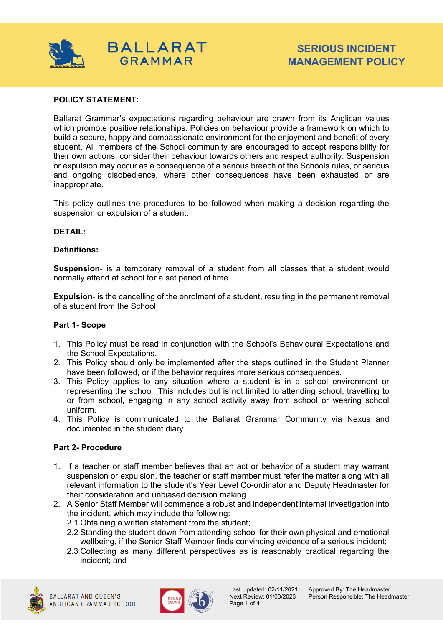

### **POLICY STATEMENT:**

Ballarat Grammar's expectations regarding behaviour are drawn from its Anglican values which promote positive relationships. Policies on behaviour provide a framework on which to build a secure, happy and compassionate environment for the enjoyment and benefit of every student. All members of the School community are encouraged to accept responsibility for their own actions, consider their behaviour towards others and respect authority. Suspension or expulsion may occur as a consequence of a serious breach of the Schools rules, or serious and ongoing disobedience, where other consequences have been exhausted or are inappropriate.

This policy outlines the procedures to be followed when making a decision regarding the suspension or expulsion of a student.

#### **DETAIL:**

### **Definitions:**

**Suspension**- is a temporary removal of a student from all classes that a student would normally attend at school for a set period of time.

**Expulsion**- is the cancelling of the enrolment of a student, resulting in the permanent removal of a student from the School.

#### **Part 1- Scope**

- 1. This Policy must be read in conjunction with the School's Behavioural Expectations and the School Expectations.
- 2. This Policy should only be implemented after the steps outlined in the Student Planner have been followed, or if the behavior requires more serious consequences.
- 3. This Policy applies to any situation where a student is in a school environment or representing the school. This includes but is not limited to attending school, travelling to or from school, engaging in any school activity away from school or wearing school uniform.
- 4. This Policy is communicated to the Ballarat Grammar Community via Nexus and documented in the student diary.

#### **Part 2- Procedure**

- 1. If a teacher or staff member believes that an act or behavior of a student may warrant suspension or expulsion, the teacher or staff member must refer the matter along with all relevant information to the student's Year Level Co-ordinator and Deputy Headmaster for their consideration and unbiased decision making.
- 2. A Senior Staff Member will commence a robust and independent internal investigation into the incident, which may include the following:
	- 2.1 Obtaining a written statement from the student;
	- 2.2 Standing the student down from attending school for their own physical and emotional wellbeing, if the Senior Staff Member finds convincing evidence of a serious incident;
	- 2.3 Collecting as many different perspectives as is reasonably practical regarding the incident; and



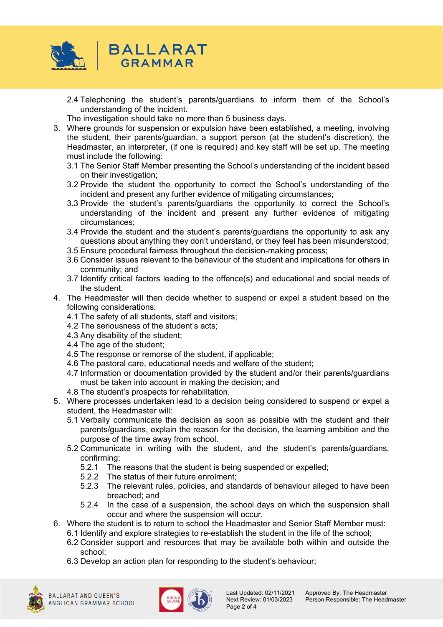

- 2.4 Telephoning the student's parents/guardians to inform them of the School's understanding of the incident.
- The investigation should take no more than 5 business days.
- 3. Where grounds for suspension or expulsion have been established, a meeting, involving the student, their parents/guardian, a support person (at the student's discretion), the Headmaster, an interpreter, (if one is required) and key staff will be set up. The meeting must include the following:
	- 3.1 The Senior Staff Member presenting the School's understanding of the incident based on their investigation;
	- 3.2 Provide the student the opportunity to correct the School's understanding of the incident and present any further evidence of mitigating circumstances;
	- 3.3 Provide the student's parents/guardians the opportunity to correct the School's understanding of the incident and present any further evidence of mitigating circumstances;
	- 3.4 Provide the student and the student's parents/guardians the opportunity to ask any questions about anything they don't understand, or they feel has been misunderstood;
	- 3.5 Ensure procedural fairness throughout the decision-making process;
	- 3.6 Consider issues relevant to the behaviour of the student and implications for others in community; and
	- 3.7 Identify critical factors leading to the offence(s) and educational and social needs of the student.
- 4. The Headmaster will then decide whether to suspend or expel a student based on the following considerations:
	- 4.1 The safety of all students, staff and visitors;
	- 4.2 The seriousness of the student's acts;
	- 4.3 Any disability of the student;
	- 4.4 The age of the student;
	- 4.5 The response or remorse of the student, if applicable;
	- 4.6 The pastoral care, educational needs and welfare of the student;
	- 4.7 Information or documentation provided by the student and/or their parents/guardians must be taken into account in making the decision; and
	- 4.8 The student's prospects for rehabilitation.
- 5. Where processes undertaken lead to a decision being considered to suspend or expel a student, the Headmaster will:
	- 5.1 Verbally communicate the decision as soon as possible with the student and their parents/guardians, explain the reason for the decision, the learning ambition and the purpose of the time away from school.
	- 5.2 Communicate in writing with the student, and the student's parents/guardians, confirming:
		- 5.2.1 The reasons that the student is being suspended or expelled;
		- 5.2.2 The status of their future enrolment;
		- 5.2.3 The relevant rules, policies, and standards of behaviour alleged to have been breached; and
		- 5.2.4 In the case of a suspension, the school days on which the suspension shall occur and where the suspension will occur.
- 6. Where the student is to return to school the Headmaster and Senior Staff Member must: 6.1 Identify and explore strategies to re-establish the student in the life of the school;
	- 6.2 Consider support and resources that may be available both within and outside the school;
	- 6.3 Develop an action plan for responding to the student's behaviour;



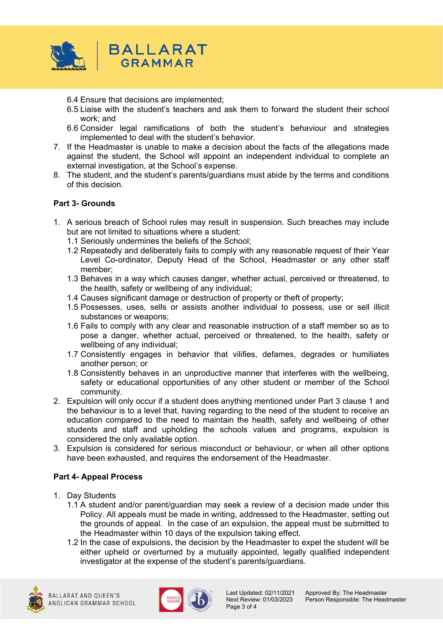

- 6.4 Ensure that decisions are implemented;
- 6.5 Liaise with the student's teachers and ask them to forward the student their school work; and
- 6.6 Consider legal ramifications of both the student's behaviour and strategies implemented to deal with the student's behavior.
- 7. If the Headmaster is unable to make a decision about the facts of the allegations made against the student, the School will appoint an independent individual to complete an external investigation, at the School's expense.
- 8. The student, and the student's parents/guardians must abide by the terms and conditions of this decision.

## **Part 3- Grounds**

- 1. A serious breach of School rules may result in suspension. Such breaches may include but are not limited to situations where a student:
	- 1.1 Seriously undermines the beliefs of the School;
	- 1.2 Repeatedly and deliberately fails to comply with any reasonable request of their Year Level Co-ordinator, Deputy Head of the School, Headmaster or any other staff member;
	- 1.3 Behaves in a way which causes danger, whether actual, perceived or threatened, to the health, safety or wellbeing of any individual;
	- 1.4 Causes significant damage or destruction of property or theft of property;
	- 1.5 Possesses, uses, sells or assists another individual to possess, use or sell illicit substances or weapons;
	- 1.6 Fails to comply with any clear and reasonable instruction of a staff member so as to pose a danger, whether actual, perceived or threatened, to the health, safety or wellbeing of any individual;
	- 1.7 Consistently engages in behavior that vilifies, defames, degrades or humiliates another person; or
	- 1.8 Consistently behaves in an unproductive manner that interferes with the wellbeing, safety or educational opportunities of any other student or member of the School community.
- 2. Expulsion will only occur if a student does anything mentioned under Part 3 clause 1 and the behaviour is to a level that, having regarding to the need of the student to receive an education compared to the need to maintain the health, safety and wellbeing of other students and staff and upholding the schools values and programs, expulsion is considered the only available option.
- 3. Expulsion is considered for serious misconduct or behaviour, or when all other options have been exhausted, and requires the endorsement of the Headmaster.

# **Part 4- Appeal Process**

- 1. Day Students
	- 1.1 A student and/or parent/guardian may seek a review of a decision made under this Policy. All appeals must be made in writing, addressed to the Headmaster, setting out the grounds of appeal. In the case of an expulsion, the appeal must be submitted to the Headmaster within 10 days of the expulsion taking effect.
	- 1.2 In the case of expulsions, the decision by the Headmaster to expel the student will be either upheld or overturned by a mutually appointed, legally qualified independent investigator at the expense of the student's parents/guardians.





Page 3 of 4